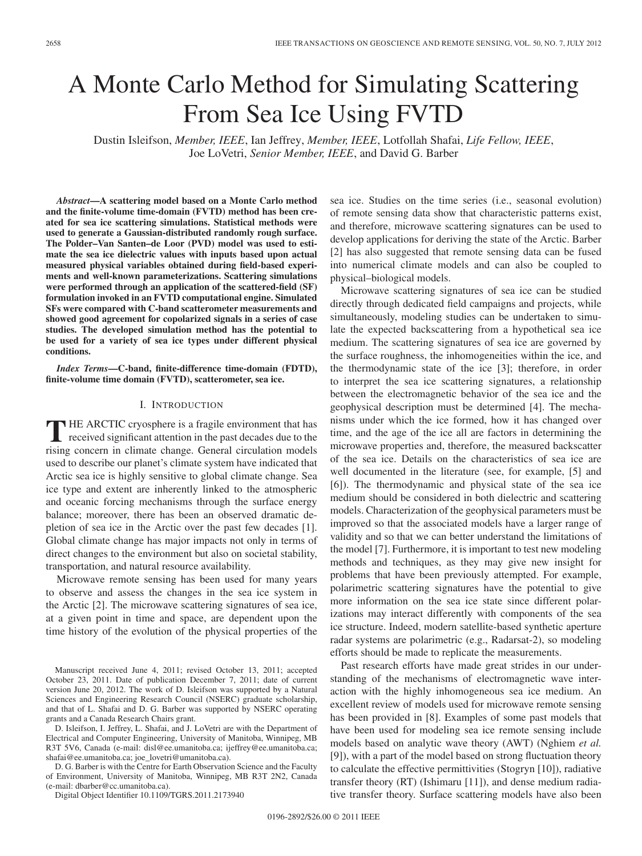# A Monte Carlo Method for Simulating Scattering From Sea Ice Using FVTD

Dustin Isleifson, *Member, IEEE*, Ian Jeffrey, *Member, IEEE*, Lotfollah Shafai, *Life Fellow, IEEE*, Joe LoVetri, *Senior Member, IEEE*, and David G. Barber

*Abstract***—A scattering model based on a Monte Carlo method and the finite-volume time-domain (FVTD) method has been created for sea ice scattering simulations. Statistical methods were used to generate a Gaussian-distributed randomly rough surface. The Polder–Van Santen–de Loor (PVD) model was used to estimate the sea ice dielectric values with inputs based upon actual measured physical variables obtained during field-based experiments and well-known parameterizations. Scattering simulations were performed through an application of the scattered-field (SF) formulation invoked in an FVTD computational engine. Simulated SFs were compared with C-band scatterometer measurements and showed good agreement for copolarized signals in a series of case studies. The developed simulation method has the potential to be used for a variety of sea ice types under different physical conditions.**

*Index Terms***—C-band, finite-difference time-domain (FDTD), finite-volume time domain (FVTD), scatterometer, sea ice.**

# I. INTRODUCTION

THE ARCTIC cryosphere is a fragile environment that has received significant attention in the past decades due to the rising concern in climate change. General circulation models used to describe our planet's climate system have indicated that Arctic sea ice is highly sensitive to global climate change. Sea ice type and extent are inherently linked to the atmospheric and oceanic forcing mechanisms through the surface energy balance; moreover, there has been an observed dramatic depletion of sea ice in the Arctic over the past few decades [1]. Global climate change has major impacts not only in terms of direct changes to the environment but also on societal stability, transportation, and natural resource availability.

Microwave remote sensing has been used for many years to observe and assess the changes in the sea ice system in the Arctic [2]. The microwave scattering signatures of sea ice, at a given point in time and space, are dependent upon the time history of the evolution of the physical properties of the

Manuscript received June 4, 2011; revised October 13, 2011; accepted October 23, 2011. Date of publication December 7, 2011; date of current version June 20, 2012. The work of D. Isleifson was supported by a Natural Sciences and Engineering Research Council (NSERC) graduate scholarship, and that of L. Shafai and D. G. Barber was supported by NSERC operating grants and a Canada Research Chairs grant.

D. Isleifson, I. Jeffrey, L. Shafai, and J. LoVetri are with the Department of Electrical and Computer Engineering, University of Manitoba, Winnipeg, MB R3T 5V6, Canada (e-mail: disl@ee.umanitoba.ca; ijeffrey@ee.umanitoba.ca; shafai@ee.umanitoba.ca; joe\_lovetri@umanitoba.ca).

D. G. Barber is with the Centre for Earth Observation Science and the Faculty of Environment, University of Manitoba, Winnipeg, MB R3T 2N2, Canada (e-mail: dbarber@cc.umanitoba.ca).

Digital Object Identifier 10.1109/TGRS.2011.2173940

sea ice. Studies on the time series (i.e., seasonal evolution) of remote sensing data show that characteristic patterns exist, and therefore, microwave scattering signatures can be used to develop applications for deriving the state of the Arctic. Barber [2] has also suggested that remote sensing data can be fused into numerical climate models and can also be coupled to physical–biological models.

Microwave scattering signatures of sea ice can be studied directly through dedicated field campaigns and projects, while simultaneously, modeling studies can be undertaken to simulate the expected backscattering from a hypothetical sea ice medium. The scattering signatures of sea ice are governed by the surface roughness, the inhomogeneities within the ice, and the thermodynamic state of the ice [3]; therefore, in order to interpret the sea ice scattering signatures, a relationship between the electromagnetic behavior of the sea ice and the geophysical description must be determined [4]. The mechanisms under which the ice formed, how it has changed over time, and the age of the ice all are factors in determining the microwave properties and, therefore, the measured backscatter of the sea ice. Details on the characteristics of sea ice are well documented in the literature (see, for example, [5] and [6]). The thermodynamic and physical state of the sea ice medium should be considered in both dielectric and scattering models. Characterization of the geophysical parameters must be improved so that the associated models have a larger range of validity and so that we can better understand the limitations of the model [7]. Furthermore, it is important to test new modeling methods and techniques, as they may give new insight for problems that have been previously attempted. For example, polarimetric scattering signatures have the potential to give more information on the sea ice state since different polarizations may interact differently with components of the sea ice structure. Indeed, modern satellite-based synthetic aperture radar systems are polarimetric (e.g., Radarsat-2), so modeling efforts should be made to replicate the measurements.

Past research efforts have made great strides in our understanding of the mechanisms of electromagnetic wave interaction with the highly inhomogeneous sea ice medium. An excellent review of models used for microwave remote sensing has been provided in [8]. Examples of some past models that have been used for modeling sea ice remote sensing include models based on analytic wave theory (AWT) (Nghiem *et al.* [9]), with a part of the model based on strong fluctuation theory to calculate the effective permittivities (Stogryn [10]), radiative transfer theory (RT) (Ishimaru [11]), and dense medium radiative transfer theory. Surface scattering models have also been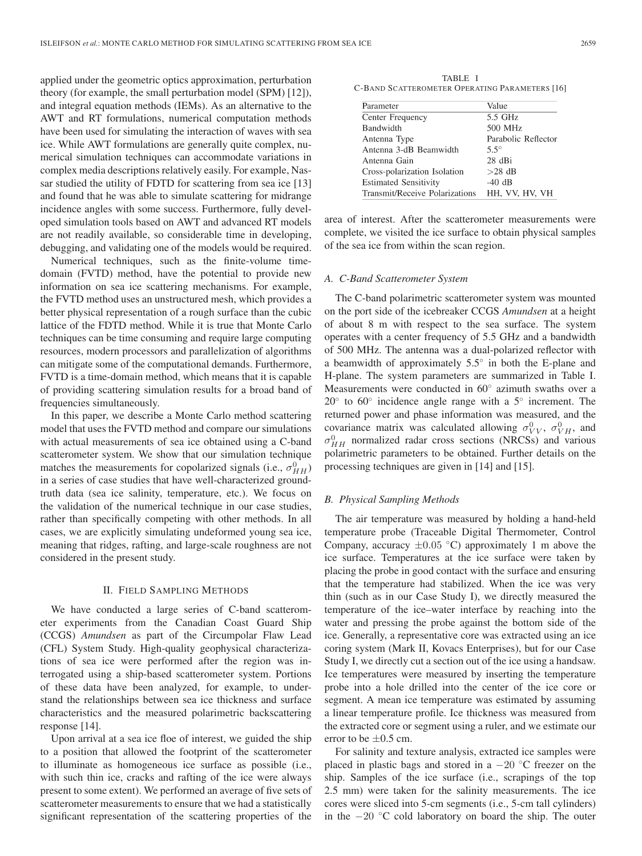applied under the geometric optics approximation, perturbation theory (for example, the small perturbation model (SPM) [12]), and integral equation methods (IEMs). As an alternative to the AWT and RT formulations, numerical computation methods have been used for simulating the interaction of waves with sea ice. While AWT formulations are generally quite complex, numerical simulation techniques can accommodate variations in complex media descriptions relatively easily. For example, Nassar studied the utility of FDTD for scattering from sea ice [13] and found that he was able to simulate scattering for midrange incidence angles with some success. Furthermore, fully developed simulation tools based on AWT and advanced RT models are not readily available, so considerable time in developing, debugging, and validating one of the models would be required.

Numerical techniques, such as the finite-volume timedomain (FVTD) method, have the potential to provide new information on sea ice scattering mechanisms. For example, the FVTD method uses an unstructured mesh, which provides a better physical representation of a rough surface than the cubic lattice of the FDTD method. While it is true that Monte Carlo techniques can be time consuming and require large computing resources, modern processors and parallelization of algorithms can mitigate some of the computational demands. Furthermore, FVTD is a time-domain method, which means that it is capable of providing scattering simulation results for a broad band of frequencies simultaneously.

In this paper, we describe a Monte Carlo method scattering model that uses the FVTD method and compare our simulations with actual measurements of sea ice obtained using a C-band scatterometer system. We show that our simulation technique matches the measurements for copolarized signals (i.e.,  $\sigma_{HH}^0$ ) in a series of case studies that have well-characterized groundtruth data (sea ice salinity, temperature, etc.). We focus on the validation of the numerical technique in our case studies, rather than specifically competing with other methods. In all cases, we are explicitly simulating undeformed young sea ice, meaning that ridges, rafting, and large-scale roughness are not considered in the present study.

## II. FIELD SAMPLING METHODS

We have conducted a large series of C-band scatterometer experiments from the Canadian Coast Guard Ship (CCGS) *Amundsen* as part of the Circumpolar Flaw Lead (CFL) System Study. High-quality geophysical characterizations of sea ice were performed after the region was interrogated using a ship-based scatterometer system. Portions of these data have been analyzed, for example, to understand the relationships between sea ice thickness and surface characteristics and the measured polarimetric backscattering response [14].

Upon arrival at a sea ice floe of interest, we guided the ship to a position that allowed the footprint of the scatterometer to illuminate as homogeneous ice surface as possible (i.e., with such thin ice, cracks and rafting of the ice were always present to some extent). We performed an average of five sets of scatterometer measurements to ensure that we had a statistically significant representation of the scattering properties of the

TABLE I C-BAND SCATTEROMETER OPERATING PARAMETERS [16]

| Parameter                      | Value               |
|--------------------------------|---------------------|
| Center Frequency               | 5.5 GHz             |
| Bandwidth                      | 500 MHz             |
| Antenna Type                   | Parabolic Reflector |
| Antenna 3-dB Beamwidth         | $5.5^\circ$         |
| Antenna Gain                   | $28$ dBi            |
| Cross-polarization Isolation   | $>28$ dB            |
| <b>Estimated Sensitivity</b>   | $-40$ dB            |
| Transmit/Receive Polarizations | HH. VV. HV. VH      |

area of interest. After the scatterometer measurements were complete, we visited the ice surface to obtain physical samples of the sea ice from within the scan region.

#### *A. C-Band Scatterometer System*

The C-band polarimetric scatterometer system was mounted on the port side of the icebreaker CCGS *Amundsen* at a height of about 8 m with respect to the sea surface. The system operates with a center frequency of 5.5 GHz and a bandwidth of 500 MHz. The antenna was a dual-polarized reflector with a beamwidth of approximately 5.5◦ in both the E-plane and H-plane. The system parameters are summarized in Table I. Measurements were conducted in 60◦ azimuth swaths over a  $20°$  to  $60°$  incidence angle range with a  $5°$  increment. The returned power and phase information was measured, and the covariance matrix was calculated allowing  $\sigma_{VV}^0$ ,  $\sigma_{VH}^0$ , and  $\sigma_{HH}^0$  normalized radar cross sections (NRCSs) and various polarimetric parameters to be obtained. Further details on the processing techniques are given in [14] and [15].

## *B. Physical Sampling Methods*

The air temperature was measured by holding a hand-held temperature probe (Traceable Digital Thermometer, Control Company, accuracy  $\pm 0.05$  °C) approximately 1 m above the ice surface. Temperatures at the ice surface were taken by placing the probe in good contact with the surface and ensuring that the temperature had stabilized. When the ice was very thin (such as in our Case Study I), we directly measured the temperature of the ice–water interface by reaching into the water and pressing the probe against the bottom side of the ice. Generally, a representative core was extracted using an ice coring system (Mark II, Kovacs Enterprises), but for our Case Study I, we directly cut a section out of the ice using a handsaw. Ice temperatures were measured by inserting the temperature probe into a hole drilled into the center of the ice core or segment. A mean ice temperature was estimated by assuming a linear temperature profile. Ice thickness was measured from the extracted core or segment using a ruler, and we estimate our error to be  $\pm 0.5$  cm.

For salinity and texture analysis, extracted ice samples were placed in plastic bags and stored in a  $-20$  °C freezer on the ship. Samples of the ice surface (i.e., scrapings of the top 2.5 mm) were taken for the salinity measurements. The ice cores were sliced into 5-cm segments (i.e., 5-cm tall cylinders) in the  $-20$  °C cold laboratory on board the ship. The outer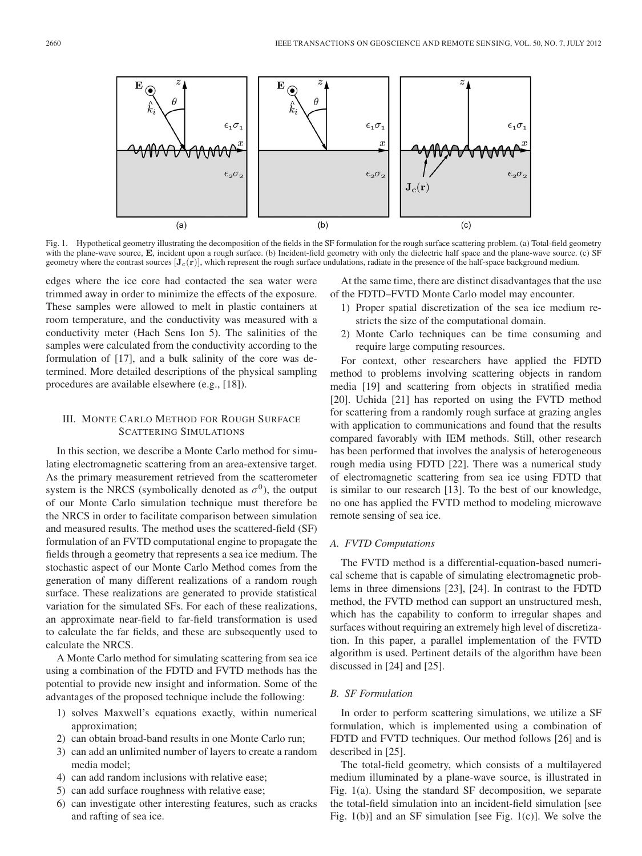

Fig. 1. Hypothetical geometry illustrating the decomposition of the fields in the SF formulation for the rough surface scattering problem. (a) Total-field geometry with the plane-wave source, **E**, incident upon a rough surface. (b) Incident-field geometry with only the dielectric half space and the plane-wave source. (c) SF geometry where the contrast sources [**J**c(**r**)], which represent the rough surface undulations, radiate in the presence of the half-space background medium.

edges where the ice core had contacted the sea water were trimmed away in order to minimize the effects of the exposure. These samples were allowed to melt in plastic containers at room temperature, and the conductivity was measured with a conductivity meter (Hach Sens Ion 5). The salinities of the samples were calculated from the conductivity according to the formulation of [17], and a bulk salinity of the core was determined. More detailed descriptions of the physical sampling procedures are available elsewhere (e.g., [18]).

# III. MONTE CARLO METHOD FOR ROUGH SURFACE SCATTERING SIMULATIONS

In this section, we describe a Monte Carlo method for simulating electromagnetic scattering from an area-extensive target. As the primary measurement retrieved from the scatterometer system is the NRCS (symbolically denoted as  $\sigma^{0}$ ), the output of our Monte Carlo simulation technique must therefore be the NRCS in order to facilitate comparison between simulation and measured results. The method uses the scattered-field (SF) formulation of an FVTD computational engine to propagate the fields through a geometry that represents a sea ice medium. The stochastic aspect of our Monte Carlo Method comes from the generation of many different realizations of a random rough surface. These realizations are generated to provide statistical variation for the simulated SFs. For each of these realizations, an approximate near-field to far-field transformation is used to calculate the far fields, and these are subsequently used to calculate the NRCS.

A Monte Carlo method for simulating scattering from sea ice using a combination of the FDTD and FVTD methods has the potential to provide new insight and information. Some of the advantages of the proposed technique include the following:

- 1) solves Maxwell's equations exactly, within numerical approximation;
- 2) can obtain broad-band results in one Monte Carlo run;
- 3) can add an unlimited number of layers to create a random media model;
- 4) can add random inclusions with relative ease;
- 5) can add surface roughness with relative ease;
- 6) can investigate other interesting features, such as cracks and rafting of sea ice.

At the same time, there are distinct disadvantages that the use of the FDTD–FVTD Monte Carlo model may encounter.

- 1) Proper spatial discretization of the sea ice medium restricts the size of the computational domain.
- 2) Monte Carlo techniques can be time consuming and require large computing resources.

For context, other researchers have applied the FDTD method to problems involving scattering objects in random media [19] and scattering from objects in stratified media [20]. Uchida [21] has reported on using the FVTD method for scattering from a randomly rough surface at grazing angles with application to communications and found that the results compared favorably with IEM methods. Still, other research has been performed that involves the analysis of heterogeneous rough media using FDTD [22]. There was a numerical study of electromagnetic scattering from sea ice using FDTD that is similar to our research [13]. To the best of our knowledge, no one has applied the FVTD method to modeling microwave remote sensing of sea ice.

### *A. FVTD Computations*

The FVTD method is a differential-equation-based numerical scheme that is capable of simulating electromagnetic problems in three dimensions [23], [24]. In contrast to the FDTD method, the FVTD method can support an unstructured mesh, which has the capability to conform to irregular shapes and surfaces without requiring an extremely high level of discretization. In this paper, a parallel implementation of the FVTD algorithm is used. Pertinent details of the algorithm have been discussed in [24] and [25].

# *B. SF Formulation*

In order to perform scattering simulations, we utilize a SF formulation, which is implemented using a combination of FDTD and FVTD techniques. Our method follows [26] and is described in [25].

The total-field geometry, which consists of a multilayered medium illuminated by a plane-wave source, is illustrated in Fig. 1(a). Using the standard SF decomposition, we separate the total-field simulation into an incident-field simulation [see Fig. 1(b)] and an SF simulation [see Fig. 1(c)]. We solve the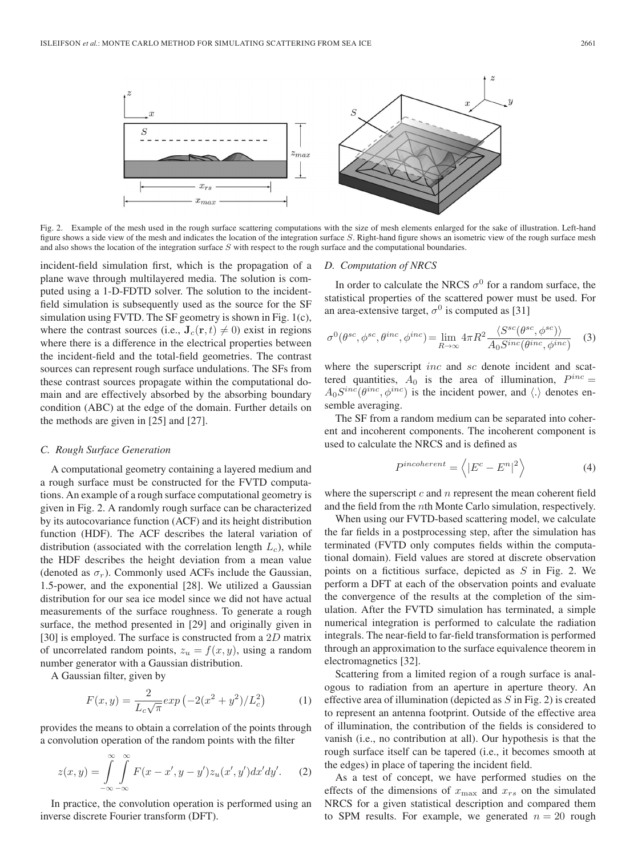

Fig. 2. Example of the mesh used in the rough surface scattering computations with the size of mesh elements enlarged for the sake of illustration. Left-hand figure shows a side view of the mesh and indicates the location of the integration surface S. Right-hand figure shows an isometric view of the rough surface mesh and also shows the location of the integration surface S with respect to the rough surface and the computational boundaries.

incident-field simulation first, which is the propagation of a plane wave through multilayered media. The solution is computed using a 1-D-FDTD solver. The solution to the incidentfield simulation is subsequently used as the source for the SF simulation using FVTD. The SF geometry is shown in Fig. 1(c), where the contrast sources (i.e.,  $J_c(\mathbf{r}, t) \neq 0$ ) exist in regions where there is a difference in the electrical properties between the incident-field and the total-field geometries. The contrast sources can represent rough surface undulations. The SFs from these contrast sources propagate within the computational domain and are effectively absorbed by the absorbing boundary condition (ABC) at the edge of the domain. Further details on the methods are given in [25] and [27].

#### *C. Rough Surface Generation*

A computational geometry containing a layered medium and a rough surface must be constructed for the FVTD computations. An example of a rough surface computational geometry is given in Fig. 2. A randomly rough surface can be characterized by its autocovariance function (ACF) and its height distribution function (HDF). The ACF describes the lateral variation of distribution (associated with the correlation length  $L_c$ ), while the HDF describes the height deviation from a mean value (denoted as  $\sigma_r$ ). Commonly used ACFs include the Gaussian, 1.5-power, and the exponential [28]. We utilized a Gaussian distribution for our sea ice model since we did not have actual measurements of the surface roughness. To generate a rough surface, the method presented in [29] and originally given in [30] is employed. The surface is constructed from a 2D matrix of uncorrelated random points,  $z_u = f(x, y)$ , using a random number generator with a Gaussian distribution.

A Gaussian filter, given by

$$
F(x,y) = \frac{2}{L_c\sqrt{\pi}} \exp\left(-2(x^2 + y^2)/L_c^2\right) \tag{1}
$$

provides the means to obtain a correlation of the points through a convolution operation of the random points with the filter

$$
z(x,y) = \int_{-\infty}^{\infty} \int_{-\infty}^{\infty} F(x - x', y - y') z_u(x', y') dx' dy'.
$$
 (2)

In practice, the convolution operation is performed using an inverse discrete Fourier transform (DFT).

# *D. Computation of NRCS*

In order to calculate the NRCS  $\sigma^0$  for a random surface, the statistical properties of the scattered power must be used. For an area-extensive target,  $\sigma^0$  is computed as [31]

$$
\sigma^0(\theta^{sc}, \phi^{sc}, \theta^{inc}, \phi^{inc}) = \lim_{R \to \infty} 4\pi R^2 \frac{\langle S^{sc}(\theta^{sc}, \phi^{sc}) \rangle}{A_0 S^{inc}(\theta^{inc}, \phi^{inc})}
$$
(3)

where the superscript  $inc$  and  $sc$  denote incident and scattered quantities,  $A_0$  is the area of illumination,  $P^{inc} =$  $A_0S^{inc}(\theta^{inc}, \phi^{inc})$  is the incident power, and  $\langle . \rangle$  denotes ensemble averaging.

The SF from a random medium can be separated into coherent and incoherent components. The incoherent component is used to calculate the NRCS and is defined as

$$
P^{incoherent} = \left\langle |E^c - E^n|^2 \right\rangle \tag{4}
$$

where the superscript  $c$  and  $n$  represent the mean coherent field and the field from the nth Monte Carlo simulation, respectively.

When using our FVTD-based scattering model, we calculate the far fields in a postprocessing step, after the simulation has terminated (FVTD only computes fields within the computational domain). Field values are stored at discrete observation points on a fictitious surface, depicted as  $S$  in Fig. 2. We perform a DFT at each of the observation points and evaluate the convergence of the results at the completion of the simulation. After the FVTD simulation has terminated, a simple numerical integration is performed to calculate the radiation integrals. The near-field to far-field transformation is performed through an approximation to the surface equivalence theorem in electromagnetics [32].

Scattering from a limited region of a rough surface is analogous to radiation from an aperture in aperture theory. An effective area of illumination (depicted as  $S$  in Fig. 2) is created to represent an antenna footprint. Outside of the effective area of illumination, the contribution of the fields is considered to vanish (i.e., no contribution at all). Our hypothesis is that the rough surface itself can be tapered (i.e., it becomes smooth at the edges) in place of tapering the incident field.

As a test of concept, we have performed studies on the effects of the dimensions of  $x_{\text{max}}$  and  $x_{rs}$  on the simulated NRCS for a given statistical description and compared them to SPM results. For example, we generated  $n = 20$  rough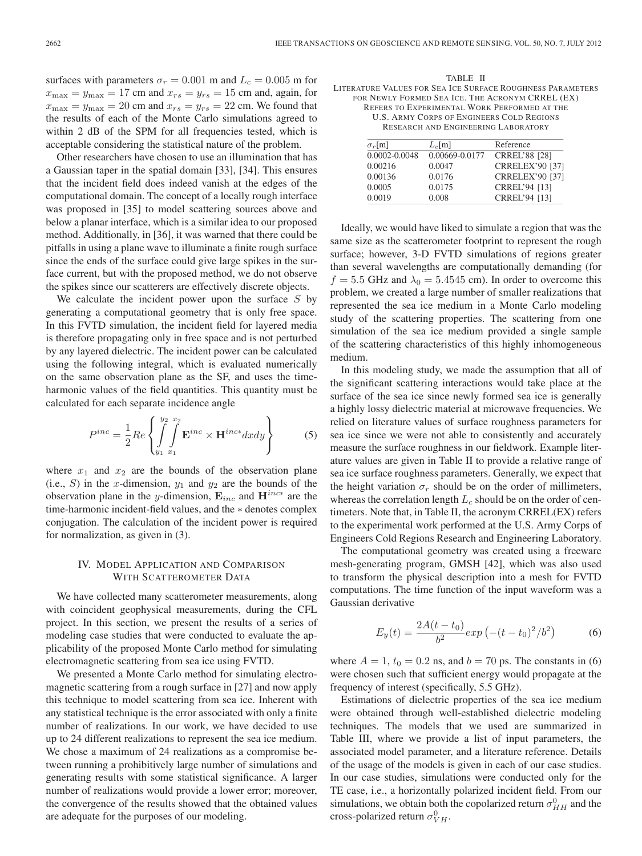surfaces with parameters  $\sigma_r = 0.001$  m and  $L_c = 0.005$  m for  $x_{\text{max}} = y_{\text{max}} = 17$  cm and  $x_{rs} = y_{rs} = 15$  cm and, again, for  $x_{\text{max}} = y_{\text{max}} = 20$  cm and  $x_{rs} = y_{rs} = 22$  cm. We found that the results of each of the Monte Carlo simulations agreed to within 2 dB of the SPM for all frequencies tested, which is acceptable considering the statistical nature of the problem.

Other researchers have chosen to use an illumination that has a Gaussian taper in the spatial domain [33], [34]. This ensures that the incident field does indeed vanish at the edges of the computational domain. The concept of a locally rough interface was proposed in [35] to model scattering sources above and below a planar interface, which is a similar idea to our proposed method. Additionally, in [36], it was warned that there could be pitfalls in using a plane wave to illuminate a finite rough surface since the ends of the surface could give large spikes in the surface current, but with the proposed method, we do not observe the spikes since our scatterers are effectively discrete objects.

We calculate the incident power upon the surface  $S$  by generating a computational geometry that is only free space. In this FVTD simulation, the incident field for layered media is therefore propagating only in free space and is not perturbed by any layered dielectric. The incident power can be calculated using the following integral, which is evaluated numerically on the same observation plane as the SF, and uses the timeharmonic values of the field quantities. This quantity must be calculated for each separate incidence angle

$$
P^{inc} = \frac{1}{2} Re \left\{ \int_{y_1}^{y_2} \int_{x_1}^{x_2} \mathbf{E}^{inc} \times \mathbf{H}^{inc*} dx dy \right\}
$$
 (5)

where  $x_1$  and  $x_2$  are the bounds of the observation plane (i.e., S) in the x-dimension,  $y_1$  and  $y_2$  are the bounds of the observation plane in the y-dimension,  $\mathbf{E}_{inc}$  and  $\mathbf{H}^{inc*}$  are the time-harmonic incident-field values, and the ∗ denotes complex conjugation. The calculation of the incident power is required for normalization, as given in (3).

# IV. MODEL APPLICATION AND COMPARISON WITH SCATTEROMETER DATA

We have collected many scatterometer measurements, along with coincident geophysical measurements, during the CFL project. In this section, we present the results of a series of modeling case studies that were conducted to evaluate the applicability of the proposed Monte Carlo method for simulating electromagnetic scattering from sea ice using FVTD.

We presented a Monte Carlo method for simulating electromagnetic scattering from a rough surface in [27] and now apply this technique to model scattering from sea ice. Inherent with any statistical technique is the error associated with only a finite number of realizations. In our work, we have decided to use up to 24 different realizations to represent the sea ice medium. We chose a maximum of 24 realizations as a compromise between running a prohibitively large number of simulations and generating results with some statistical significance. A larger number of realizations would provide a lower error; moreover, the convergence of the results showed that the obtained values are adequate for the purposes of our modeling.

TABLE II LITERATURE VALUES FOR SEA ICE SURFACE ROUGHNESS PARAMETERS FOR NEWLY FORMED SEA ICE. THE ACRONYM CRREL (EX) REFERS TO EXPERIMENTAL WORK PERFORMED AT THE U.S. ARMY CORPS OF ENGINEERS COLD REGIONS RESEARCH AND ENGINEERING LABORATORY

| $\sigma_r[m]$     | $L_c[m]$       | Reference              |
|-------------------|----------------|------------------------|
| $0.0002 - 0.0048$ | 0.00669-0.0177 | <b>CRREL'88 [28]</b>   |
| 0.00216           | 0.0047         | <b>CRRELEX'90 [37]</b> |
| 0.00136           | 0.0176         | <b>CRRELEX'90 [37]</b> |
| 0.0005            | 0.0175         | CRREL'94 [13]          |
| 0.0019            | 0.008          | <b>CRREL'94 [13]</b>   |

Ideally, we would have liked to simulate a region that was the same size as the scatterometer footprint to represent the rough surface; however, 3-D FVTD simulations of regions greater than several wavelengths are computationally demanding (for  $f = 5.5$  GHz and  $\lambda_0 = 5.4545$  cm). In order to overcome this problem, we created a large number of smaller realizations that represented the sea ice medium in a Monte Carlo modeling study of the scattering properties. The scattering from one simulation of the sea ice medium provided a single sample of the scattering characteristics of this highly inhomogeneous medium.

In this modeling study, we made the assumption that all of the significant scattering interactions would take place at the surface of the sea ice since newly formed sea ice is generally a highly lossy dielectric material at microwave frequencies. We relied on literature values of surface roughness parameters for sea ice since we were not able to consistently and accurately measure the surface roughness in our fieldwork. Example literature values are given in Table II to provide a relative range of sea ice surface roughness parameters. Generally, we expect that the height variation  $\sigma_r$  should be on the order of millimeters, whereas the correlation length  $L_c$  should be on the order of centimeters. Note that, in Table II, the acronym CRREL(EX) refers to the experimental work performed at the U.S. Army Corps of Engineers Cold Regions Research and Engineering Laboratory.

The computational geometry was created using a freeware mesh-generating program, GMSH [42], which was also used to transform the physical description into a mesh for FVTD computations. The time function of the input waveform was a Gaussian derivative

$$
E_y(t) = \frac{2A(t - t_0)}{b^2} exp(-(t - t_0)^2/b^2)
$$
 (6)

where  $A = 1$ ,  $t_0 = 0.2$  ns, and  $b = 70$  ps. The constants in (6) were chosen such that sufficient energy would propagate at the frequency of interest (specifically, 5.5 GHz).

Estimations of dielectric properties of the sea ice medium were obtained through well-established dielectric modeling techniques. The models that we used are summarized in Table III, where we provide a list of input parameters, the associated model parameter, and a literature reference. Details of the usage of the models is given in each of our case studies. In our case studies, simulations were conducted only for the TE case, i.e., a horizontally polarized incident field. From our simulations, we obtain both the copolarized return  $\sigma_{HH}^0$  and the cross-polarized return  $\sigma_{VH}^0$ .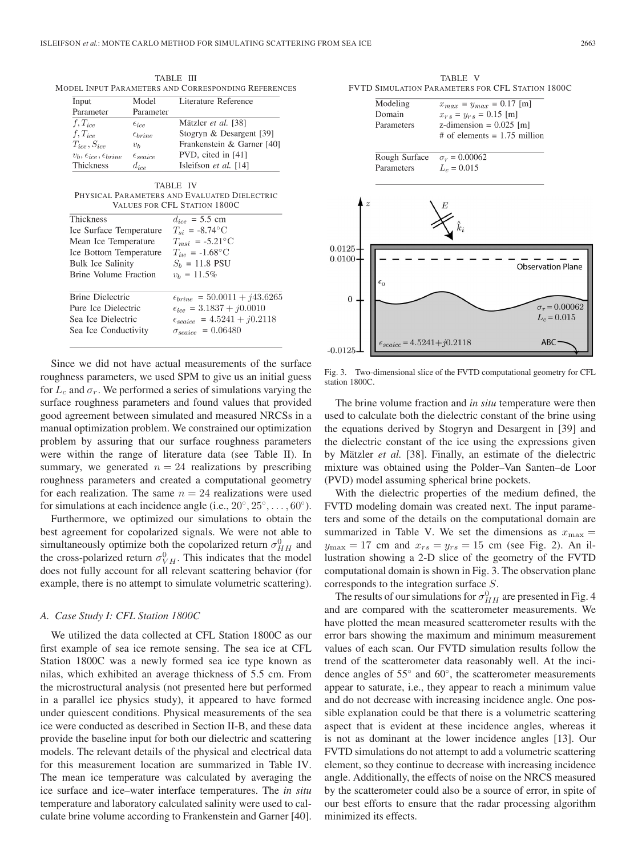TABLE III MODEL INPUT PARAMETERS AND CORRESPONDING REFERENCES

| Input                                   | Model               | Literature Reference       |
|-----------------------------------------|---------------------|----------------------------|
| Parameter                               | Parameter           |                            |
| $f, T_{ice}$                            | $\epsilon_{ice}$    | Mätzler <i>et al.</i> [38] |
| $f, T_{ice}$                            | $\epsilon_{brine}$  | Stogryn & Desargent [39]   |
| $T_{ice}$ , $S_{ice}$                   | $v_h$               | Frankenstein & Garner [40] |
| $v_b, \epsilon_{ice}, \epsilon_{brine}$ | $\epsilon_{seaice}$ | PVD, cited in [41]         |
| <b>Thickness</b>                        | $d_{ice}$           | Isleifson et al. [14]      |

TABLE IV PHYSICAL PARAMETERS AND EVALUATED DIELECTRIC VALUES FOR CFL STATION 1800C

| Thickness                | $d_{ice}$ = 5.5 cm                      |
|--------------------------|-----------------------------------------|
| Ice Surface Temperature  | $T_{\rm si}$ = -8.74°C                  |
| Mean Ice Temperature     | $T_{msi}$ = -5.21°C                     |
| Ice Bottom Temperature   | $T_{inv} = -1.68$ °C                    |
| <b>Bulk Ice Salinity</b> | $S_h = 11.8$ PSU                        |
| Brine Volume Fraction    | $v_h = 11.5\%$                          |
|                          |                                         |
| <b>Brine Dielectric</b>  | $\epsilon_{brine} = 50.0011 + j43.6265$ |
| Pure Ice Dielectric      | $\epsilon_{ice} = 3.1837 + j0.0010$     |
| Sea Ice Dielectric       | $\epsilon_{seaice}$ = 4.5241 + j0.2118  |
| Sea Ice Conductivity     | $\sigma_{\text{seaire}} = 0.06480$      |
|                          |                                         |

Since we did not have actual measurements of the surface roughness parameters, we used SPM to give us an initial guess for  $L_c$  and  $\sigma_r$ . We performed a series of simulations varying the surface roughness parameters and found values that provided good agreement between simulated and measured NRCSs in a manual optimization problem. We constrained our optimization problem by assuring that our surface roughness parameters were within the range of literature data (see Table II). In summary, we generated  $n = 24$  realizations by prescribing roughness parameters and created a computational geometry for each realization. The same  $n = 24$  realizations were used for simulations at each incidence angle (i.e.,  $20^\circ, 25^\circ, \ldots, 60^\circ$ ).

Furthermore, we optimized our simulations to obtain the best agreement for copolarized signals. We were not able to simultaneously optimize both the copolarized return  $\sigma_{HH}^0$  and the cross-polarized return  $\sigma_{VH}^0$ . This indicates that the model does not fully account for all relevant scattering behavior (for example, there is no attempt to simulate volumetric scattering).

#### *A. Case Study I: CFL Station 1800C*

We utilized the data collected at CFL Station 1800C as our first example of sea ice remote sensing. The sea ice at CFL Station 1800C was a newly formed sea ice type known as nilas, which exhibited an average thickness of 5.5 cm. From the microstructural analysis (not presented here but performed in a parallel ice physics study), it appeared to have formed under quiescent conditions. Physical measurements of the sea ice were conducted as described in Section II-B, and these data provide the baseline input for both our dielectric and scattering models. The relevant details of the physical and electrical data for this measurement location are summarized in Table IV. The mean ice temperature was calculated by averaging the ice surface and ice–water interface temperatures. The *in situ* temperature and laboratory calculated salinity were used to calculate brine volume according to Frankenstein and Garner [40].

TABLE V FVTD SIMULATION PARAMETERS FOR CFL STATION 1800C



Fig. 3. Two-dimensional slice of the FVTD computational geometry for CFL station 1800C.

The brine volume fraction and *in situ* temperature were then used to calculate both the dielectric constant of the brine using the equations derived by Stogryn and Desargent in [39] and the dielectric constant of the ice using the expressions given by Mätzler *et al.* [38]. Finally, an estimate of the dielectric mixture was obtained using the Polder–Van Santen–de Loor (PVD) model assuming spherical brine pockets.

With the dielectric properties of the medium defined, the FVTD modeling domain was created next. The input parameters and some of the details on the computational domain are summarized in Table V. We set the dimensions as  $x_{\text{max}} =$  $y_{\text{max}} = 17$  cm and  $x_{rs} = y_{rs} = 15$  cm (see Fig. 2). An illustration showing a 2-D slice of the geometry of the FVTD computational domain is shown in Fig. 3. The observation plane corresponds to the integration surface S.

The results of our simulations for  $\sigma_{HH}^0$  are presented in Fig. 4 and are compared with the scatterometer measurements. We have plotted the mean measured scatterometer results with the error bars showing the maximum and minimum measurement values of each scan. Our FVTD simulation results follow the trend of the scatterometer data reasonably well. At the incidence angles of 55◦ and 60◦, the scatterometer measurements appear to saturate, i.e., they appear to reach a minimum value and do not decrease with increasing incidence angle. One possible explanation could be that there is a volumetric scattering aspect that is evident at these incidence angles, whereas it is not as dominant at the lower incidence angles [13]. Our FVTD simulations do not attempt to add a volumetric scattering element, so they continue to decrease with increasing incidence angle. Additionally, the effects of noise on the NRCS measured by the scatterometer could also be a source of error, in spite of our best efforts to ensure that the radar processing algorithm minimized its effects.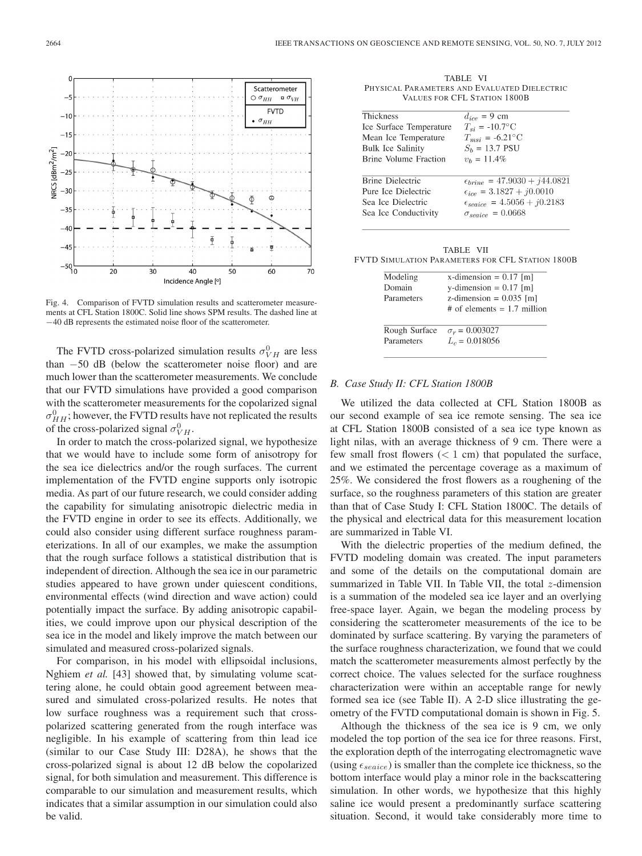$-1<sup>t</sup>$  $MCS$ [dBm<sup>2</sup>/m<sup>2</sup>]  $-20$  $-2!$  $-30$  $-35$  $-4($  $-45$  $-50$ <sub>10</sub>  $20$  $30$ 40 50 60 70 Incidence Angle [°

Scatterometer  $\circ$   $\sigma$ <sub>HH</sub>

 $\sigma$ <sub>HH</sub>

 $\sigma_{VH}$ **FVTD** 

Fig. 4. Comparison of FVTD simulation results and scatterometer measurements at CFL Station 1800C. Solid line shows SPM results. The dashed line at −40 dB represents the estimated noise floor of the scatterometer.

The FVTD cross-polarized simulation results  $\sigma_{VH}^0$  are less than −50 dB (below the scatterometer noise floor) and are much lower than the scatterometer measurements. We conclude that our FVTD simulations have provided a good comparison with the scatterometer measurements for the copolarized signal  $\sigma_{HH}^0$ ; however, the FVTD results have not replicated the results of the cross-polarized signal  $\sigma_{VH}^0$ .

In order to match the cross-polarized signal, we hypothesize that we would have to include some form of anisotropy for the sea ice dielectrics and/or the rough surfaces. The current implementation of the FVTD engine supports only isotropic media. As part of our future research, we could consider adding the capability for simulating anisotropic dielectric media in the FVTD engine in order to see its effects. Additionally, we could also consider using different surface roughness parameterizations. In all of our examples, we make the assumption that the rough surface follows a statistical distribution that is independent of direction. Although the sea ice in our parametric studies appeared to have grown under quiescent conditions, environmental effects (wind direction and wave action) could potentially impact the surface. By adding anisotropic capabilities, we could improve upon our physical description of the sea ice in the model and likely improve the match between our simulated and measured cross-polarized signals.

For comparison, in his model with ellipsoidal inclusions, Nghiem *et al.* [43] showed that, by simulating volume scattering alone, he could obtain good agreement between measured and simulated cross-polarized results. He notes that low surface roughness was a requirement such that crosspolarized scattering generated from the rough interface was negligible. In his example of scattering from thin lead ice (similar to our Case Study III: D28A), he shows that the cross-polarized signal is about 12 dB below the copolarized signal, for both simulation and measurement. This difference is comparable to our simulation and measurement results, which indicates that a similar assumption in our simulation could also be valid.

| TABLE VI                                     |
|----------------------------------------------|
| Physical Parameters and Evaluated Dielectric |
| VALUES FOR CFL STATION 1800B                 |

| Thickness                | $d_{ice} = 9$ cm                        |
|--------------------------|-----------------------------------------|
| Ice Surface Temperature  | $T_{si} = -10.7$ °C                     |
| Mean Ice Temperature     | $T_{msi} = -6.21^{\circ}\text{C}$       |
| <b>Bulk Ice Salinity</b> | $S_h = 13.7$ PSU                        |
| Brine Volume Fraction    | $v_h = 11.4\%$                          |
|                          |                                         |
|                          |                                         |
| <b>Brine Dielectric</b>  | $\epsilon_{brine} = 47.9030 + j44.0821$ |
| Pure Ice Dielectric      | $\epsilon_{ice} = 3.1827 + j0.0010$     |
| Sea Ice Dielectric       | $\epsilon_{seaice} = 4.5056 + j0.2183$  |
| Sea Ice Conductivity     | $\sigma_{\text{generic}} = 0.0668$      |

|  | TABLE VII                                        |  |  |
|--|--------------------------------------------------|--|--|
|  | FVTD SIMULATION PARAMETERS FOR CFL STATION 1800B |  |  |

| Modeling<br>Domain<br>Parameters | x-dimension = $0.17$ [m]<br>y-dimension = $0.17$ [m]<br>z-dimension = $0.035$ [m]<br># of elements $= 1.7$ million |
|----------------------------------|--------------------------------------------------------------------------------------------------------------------|
| Rough Surface                    | $\sigma_r = 0.003027$                                                                                              |
| Parameters                       | $L_c = 0.018056$                                                                                                   |

## *B. Case Study II: CFL Station 1800B*

We utilized the data collected at CFL Station 1800B as our second example of sea ice remote sensing. The sea ice at CFL Station 1800B consisted of a sea ice type known as light nilas, with an average thickness of 9 cm. There were a few small frost flowers  $(< 1$  cm) that populated the surface, and we estimated the percentage coverage as a maximum of 25%. We considered the frost flowers as a roughening of the surface, so the roughness parameters of this station are greater than that of Case Study I: CFL Station 1800C. The details of the physical and electrical data for this measurement location are summarized in Table VI.

With the dielectric properties of the medium defined, the FVTD modeling domain was created. The input parameters and some of the details on the computational domain are summarized in Table VII. In Table VII, the total *z*-dimension is a summation of the modeled sea ice layer and an overlying free-space layer. Again, we began the modeling process by considering the scatterometer measurements of the ice to be dominated by surface scattering. By varying the parameters of the surface roughness characterization, we found that we could match the scatterometer measurements almost perfectly by the correct choice. The values selected for the surface roughness characterization were within an acceptable range for newly formed sea ice (see Table II). A 2-D slice illustrating the geometry of the FVTD computational domain is shown in Fig. 5.

Although the thickness of the sea ice is 9 cm, we only modeled the top portion of the sea ice for three reasons. First, the exploration depth of the interrogating electromagnetic wave (using  $\epsilon_{seaice}$ ) is smaller than the complete ice thickness, so the bottom interface would play a minor role in the backscattering simulation. In other words, we hypothesize that this highly saline ice would present a predominantly surface scattering situation. Second, it would take considerably more time to

 $-10$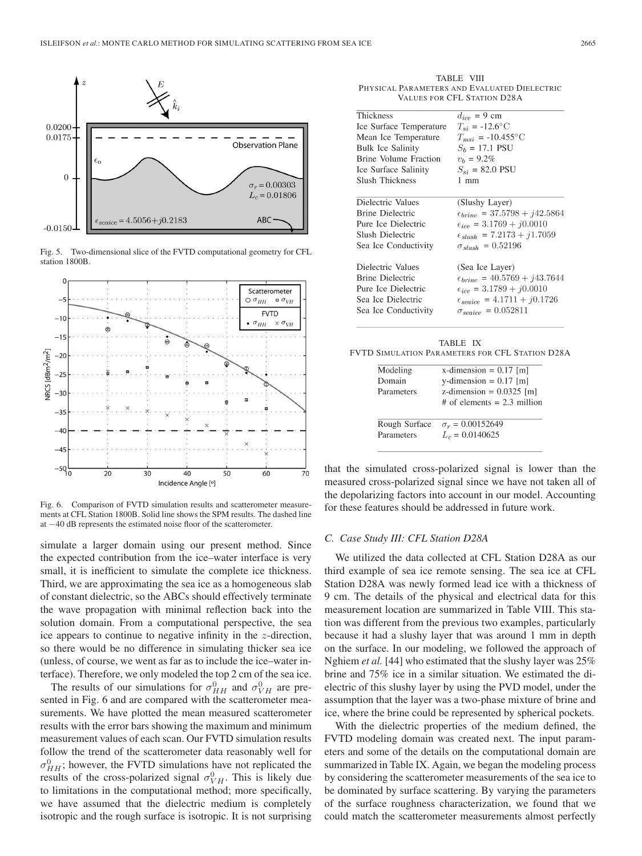

Fig. 5. Two-dimensional slice of the FVTD computational geometry for CFL station 1800B.



Fig. 6. Comparison of FVTD simulation results and scatterometer measurements at CFL Station 1800B. Solid line shows the SPM results. The dashed line at −40 dB represents the estimated noise floor of the scatterometer.

simulate a larger domain using our present method. Since the expected contribution from the ice–water interface is very small, it is inefficient to simulate the complete ice thickness. Third, we are approximating the sea ice as a homogeneous slab of constant dielectric, so the ABCs should effectively terminate the wave propagation with minimal reflection back into the solution domain. From a computational perspective, the sea ice appears to continue to negative infinity in the z-direction, so there would be no difference in simulating thicker sea ice (unless, of course, we went as far as to include the ice–water interface). Therefore, we only modeled the top 2 cm of the sea ice.

The results of our simulations for  $\sigma_{HH}^0$  and  $\sigma_{VH}^0$  are presented in Fig. 6 and are compared with the scatterometer measurements. We have plotted the mean measured scatterometer results with the error bars showing the maximum and minimum measurement values of each scan. Our FVTD simulation results follow the trend of the scatterometer data reasonably well for  $\sigma_{HH}^0$ ; however, the FVTD simulations have not replicated the results of the cross-polarized signal  $\sigma_{VH}^0$ . This is likely due to limitations in the computational method; more specifically, we have assumed that the dielectric medium is completely isotropic and the rough surface is isotropic. It is not surprising

| Thickness                    | $d_{ice}$ = 9 cm                                            |  |  |
|------------------------------|-------------------------------------------------------------|--|--|
| Ice Surface Temperature      | $T_{si} = -12.6$ °C                                         |  |  |
| Mean Ice Temperature         | $T_{msi} = -10.455$ °C                                      |  |  |
| <b>Bulk Ice Salinity</b>     | $S_b = 17.1$ PSU                                            |  |  |
| <b>Brine Volume Fraction</b> | $v_b = 9.2\%$                                               |  |  |
| Ice Surface Salinity         | $S_{si}$ = 82.0 PSU                                         |  |  |
| <b>Slush Thickness</b>       | $1 \text{ mm}$                                              |  |  |
| Dielectric Values            | (Slushy Layer)                                              |  |  |
| <b>Brine Dielectric</b>      | $\epsilon_{brine} = 37.5798 + j42.5864$                     |  |  |
| Pure Ice Dielectric          | $\epsilon_{ice} = 3.1769 + j0.0010$                         |  |  |
| Slush Dielectric             | $\epsilon_{slush} = 7.2173 + j1.7059$                       |  |  |
| Sea Ice Conductivity         | $\sigma_{slush} = 0.52196$                                  |  |  |
| Dielectric Values            | (Sea Ice Layer)                                             |  |  |
| <b>Brine Dielectric</b>      | $\epsilon_{brine} = 40.5769 + j43.7644$                     |  |  |
| Pure Ice Dielectric          | $\epsilon_{ice} = 3.1789 + j0.0010$                         |  |  |
| Sea Ice Dielectric           | $\epsilon_{seaice} = 4.1711 + j0.1726$                      |  |  |
| Sea Ice Conductivity         | $\sigma_{seaice} = 0.052811$                                |  |  |
|                              | TABLE IX<br>FVTD SIMULATION PARAMETERS FOR CFL STATION D28A |  |  |
|                              |                                                             |  |  |
| Modeling                     | x-dimension = $0.17$ [m]                                    |  |  |
| Domain                       | y-dimension = $0.17$ [m]                                    |  |  |
| Parameters                   | z-dimension = $0.0325$ [m]                                  |  |  |
|                              | # of elements $= 2.3$ million                               |  |  |

TABLE VIII PHYSICAL PARAMETERS AND EVALUATED DIELECTRIC VALUES FOR CFL STATION D28A

Rough Surface  $\sigma_r = 0.00152649$ Parameters  $L_c = 0.0140625$ 

that the simulated cross-polarized signal is lower than the measured cross-polarized signal since we have not taken all of the depolarizing factors into account in our model. Accounting for these features should be addressed in future work.

## *C. Case Study III: CFL Station D28A*

We utilized the data collected at CFL Station D28A as our third example of sea ice remote sensing. The sea ice at CFL Station D28A was newly formed lead ice with a thickness of 9 cm. The details of the physical and electrical data for this measurement location are summarized in Table VIII. This station was different from the previous two examples, particularly because it had a slushy layer that was around 1 mm in depth on the surface. In our modeling, we followed the approach of Nghiem *et al.* [44] who estimated that the slushy layer was 25% brine and 75% ice in a similar situation. We estimated the dielectric of this slushy layer by using the PVD model, under the assumption that the layer was a two-phase mixture of brine and ice, where the brine could be represented by spherical pockets.

With the dielectric properties of the medium defined, the FVTD modeling domain was created next. The input parameters and some of the details on the computational domain are summarized in Table IX. Again, we began the modeling process by considering the scatterometer measurements of the sea ice to be dominated by surface scattering. By varying the parameters of the surface roughness characterization, we found that we could match the scatterometer measurements almost perfectly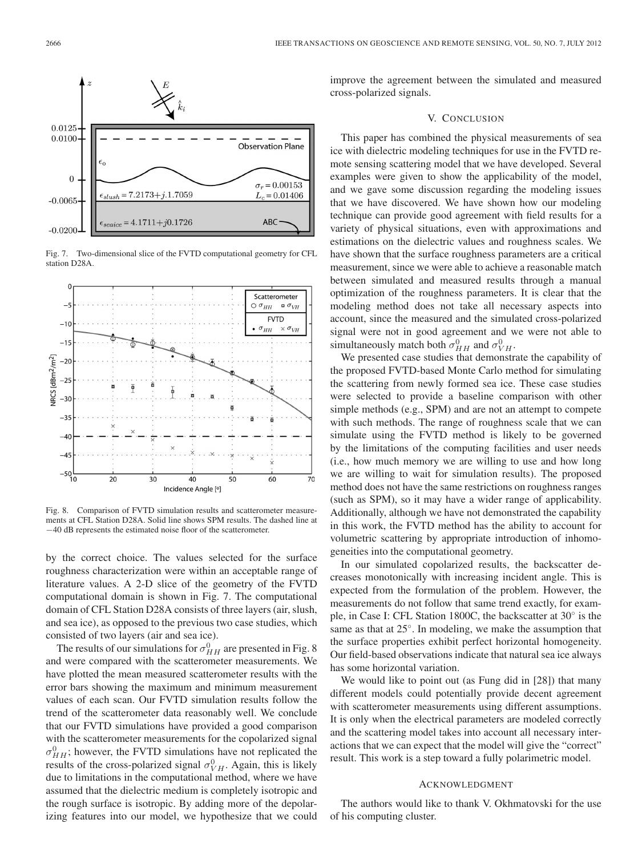

Fig. 7. Two-dimensional slice of the FVTD computational geometry for CFL station D28A.



Fig. 8. Comparison of FVTD simulation results and scatterometer measurements at CFL Station D28A. Solid line shows SPM results. The dashed line at −40 dB represents the estimated noise floor of the scatterometer.

by the correct choice. The values selected for the surface roughness characterization were within an acceptable range of literature values. A 2-D slice of the geometry of the FVTD computational domain is shown in Fig. 7. The computational domain of CFL Station D28A consists of three layers (air, slush, and sea ice), as opposed to the previous two case studies, which consisted of two layers (air and sea ice).

The results of our simulations for  $\sigma_{HH}^0$  are presented in Fig. 8 and were compared with the scatterometer measurements. We have plotted the mean measured scatterometer results with the error bars showing the maximum and minimum measurement values of each scan. Our FVTD simulation results follow the trend of the scatterometer data reasonably well. We conclude that our FVTD simulations have provided a good comparison with the scatterometer measurements for the copolarized signal  $\sigma_{HH}^0$ ; however, the FVTD simulations have not replicated the results of the cross-polarized signal  $\sigma_{VH}^0$ . Again, this is likely due to limitations in the computational method, where we have assumed that the dielectric medium is completely isotropic and the rough surface is isotropic. By adding more of the depolarizing features into our model, we hypothesize that we could improve the agreement between the simulated and measured cross-polarized signals.

## V. CONCLUSION

This paper has combined the physical measurements of sea ice with dielectric modeling techniques for use in the FVTD remote sensing scattering model that we have developed. Several examples were given to show the applicability of the model, and we gave some discussion regarding the modeling issues that we have discovered. We have shown how our modeling technique can provide good agreement with field results for a variety of physical situations, even with approximations and estimations on the dielectric values and roughness scales. We have shown that the surface roughness parameters are a critical measurement, since we were able to achieve a reasonable match between simulated and measured results through a manual optimization of the roughness parameters. It is clear that the modeling method does not take all necessary aspects into account, since the measured and the simulated cross-polarized signal were not in good agreement and we were not able to simultaneously match both  $\sigma_{HH}^0$  and  $\sigma_{VH}^0$ .

We presented case studies that demonstrate the capability of the proposed FVTD-based Monte Carlo method for simulating the scattering from newly formed sea ice. These case studies were selected to provide a baseline comparison with other simple methods (e.g., SPM) and are not an attempt to compete with such methods. The range of roughness scale that we can simulate using the FVTD method is likely to be governed by the limitations of the computing facilities and user needs (i.e., how much memory we are willing to use and how long we are willing to wait for simulation results). The proposed method does not have the same restrictions on roughness ranges (such as SPM), so it may have a wider range of applicability. Additionally, although we have not demonstrated the capability in this work, the FVTD method has the ability to account for volumetric scattering by appropriate introduction of inhomogeneities into the computational geometry.

In our simulated copolarized results, the backscatter decreases monotonically with increasing incident angle. This is expected from the formulation of the problem. However, the measurements do not follow that same trend exactly, for example, in Case I: CFL Station 1800C, the backscatter at 30◦ is the same as that at 25◦. In modeling, we make the assumption that the surface properties exhibit perfect horizontal homogeneity. Our field-based observations indicate that natural sea ice always has some horizontal variation.

We would like to point out (as Fung did in [28]) that many different models could potentially provide decent agreement with scatterometer measurements using different assumptions. It is only when the electrical parameters are modeled correctly and the scattering model takes into account all necessary interactions that we can expect that the model will give the "correct" result. This work is a step toward a fully polarimetric model.

# ACKNOWLEDGMENT

The authors would like to thank V. Okhmatovski for the use of his computing cluster.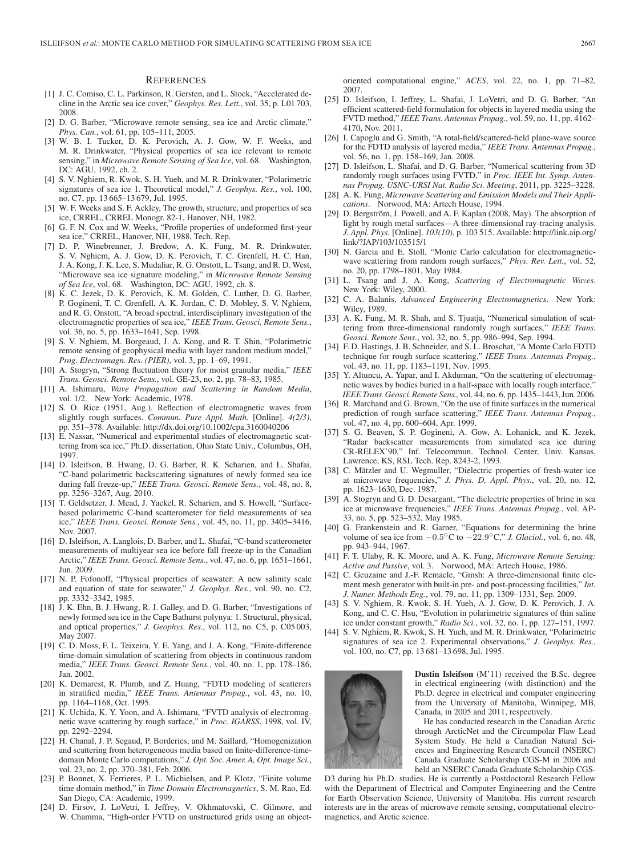#### **REFERENCES**

- [1] J. C. Comiso, C. L. Parkinson, R. Gersten, and L. Stock, "Accelerated decline in the Arctic sea ice cover," *Geophys. Res. Lett.*, vol. 35, p. L01 703, 2008.
- [2] D. G. Barber, "Microwave remote sensing, sea ice and Arctic climate," *Phys. Can.*, vol. 61, pp. 105–111, 2005.
- [3] W. B. I. Tucker, D. K. Perovich, A. J. Gow, W. F. Weeks, and M. R. Drinkwater, "Physical properties of sea ice relevant to remote sensing," in *Microwave Remote Sensing of Sea Ice*, vol. 68. Washington, DC: AGU, 1992, ch. 2.
- [4] S. V. Nghiem, R. Kwok, S. H. Yueh, and M. R. Drinkwater, "Polarimetric signatures of sea ice 1. Theoretical model," *J. Geophys. Res.*, vol. 100, no. C7, pp. 13 665–13 679, Jul. 1995.
- [5] W. F. Weeks and S. F. Ackley, The growth, structure, and properties of sea ice, CRREL, CRREL Monogr. 82-1, Hanover, NH, 1982.
- [6] G. F. N. Cox and W. Weeks, "Profile properties of undeformed first-year sea ice," CRREL, Hanover, NH, 1988, Tech. Rep.
- [7] D. P. Winebrenner, J. Bredow, A. K. Fung, M. R. Drinkwater, S. V. Nghiem, A. J. Gow, D. K. Perovich, T. C. Grenfell, H. C. Han, J. A. Kong, J. K. Lee, S. Mudaliar, R. G. Onstott, L. Tsang, and R. D. West, "Microwave sea ice signature modeling," in *Microwave Remote Sensing of Sea Ice*, vol. 68. Washington, DC: AGU, 1992, ch. 8.
- [8] K. C. Jezek, D. K. Perovich, K. M. Golden, C. Luther, D. G. Barber, P. Gogineni, T. C. Grenfell, A. K. Jordan, C. D. Mobley, S. V. Nghiem, and R. G. Onstott, "A broad spectral, interdisciplinary investigation of the electromagnetic properties of sea ice," *IEEE Trans. Geosci. Remote Sens.*, vol. 36, no. 5, pp. 1633–1641, Sep. 1998.
- [9] S. V. Nghiem, M. Borgeaud, J. A. Kong, and R. T. Shin, "Polarimetric remote sensing of geophysical media with layer random medium model," *Prog. Electromagn. Res. (PIER)*, vol. 3, pp. 1–69, 1991.
- [10] A. Stogryn, "Strong fluctuation theory for moist granular media," *IEEE Trans. Geosci. Remote Sens.*, vol. GE-23, no. 2, pp. 78–83, 1985.
- [11] A. Ishimaru, *Wave Propagation and Scattering in Random Media*, vol. 1/2. New York: Academic, 1978.
- [12] S. O. Rice (1951, Aug.). Reflection of electromagnetic waves from slightly rough surfaces. *Commun. Pure Appl. Math.* [Online]. *4(2/3)*, pp. 351–378. Available: http://dx.doi.org/10.1002/cpa.3160040206
- [13] E. Nassar, "Numerical and experimental studies of electromagnetic scattering from sea ice," Ph.D. dissertation, Ohio State Univ., Columbus, OH, 1997.
- [14] D. Isleifson, B. Hwang, D. G. Barber, R. K. Scharien, and L. Shafai, "C-band polarimetric backscattering signatures of newly formed sea ice during fall freeze-up," *IEEE Trans. Geosci. Remote Sens.*, vol. 48, no. 8, pp. 3256–3267, Aug. 2010.
- [15] T. Geldsetzer, J. Mead, J. Yackel, R. Scharien, and S. Howell, "Surfacebased polarimetric C-band scatterometer for field measurements of sea ice," *IEEE Trans. Geosci. Remote Sens.*, vol. 45, no. 11, pp. 3405–3416, Nov. 2007.
- [16] D. Isleifson, A. Langlois, D. Barber, and L. Shafai, "C-band scatterometer measurements of multiyear sea ice before fall freeze-up in the Canadian Arctic," *IEEE Trans. Geosci. Remote Sens.*, vol. 47, no. 6, pp. 1651–1661, Jun. 2009.
- [17] N. P. Fofonoff, "Physical properties of seawater: A new salinity scale and equation of state for seawater," *J. Geophys. Res.*, vol. 90, no. C2, pp. 3332–3342, 1985.
- [18] J. K. Ehn, B. J. Hwang, R. J. Galley, and D. G. Barber, "Investigations of newly formed sea ice in the Cape Bathurst polynya: 1. Structural, physical, and optical properties," *J. Geophys. Res.*, vol. 112, no. C5, p. C05 003, May 2007.
- [19] C. D. Moss, F. L. Teixeira, Y. E. Yang, and J. A. Kong, "Finite-difference time-domain simulation of scattering from objects in continuous random media," *IEEE Trans. Geosci. Remote Sens.*, vol. 40, no. 1, pp. 178–186, Jan. 2002.
- [20] K. Demarest, R. Plumb, and Z. Huang, "FDTD modeling of scatterers in stratified media," *IEEE Trans. Antennas Propag.*, vol. 43, no. 10, pp. 1164–1168, Oct. 1995.
- [21] K. Uchida, K. Y. Yoon, and A. Ishimaru, "FVTD analysis of electromagnetic wave scattering by rough surface," in *Proc. IGARSS*, 1998, vol. IV, pp. 2292–2294.
- [22] H. Chanal, J. P. Segaud, P. Borderies, and M. Saillard, "Homogenization and scattering from heterogeneous media based on finite-difference-timedomain Monte Carlo computations," *J. Opt. Soc. Amer. A, Opt. Image Sci.*, vol. 23, no. 2, pp. 370–381, Feb. 2006.
- [23] P. Bonnet, X. Ferrieres, P. L. Michielsen, and P. Klotz, "Finite volume time domain method," in *Time Domain Electromagnetics*, S. M. Rao, Ed. San Diego, CA: Academic, 1999.
- [24] D. Firsov, J. LoVetri, I. Jeffrey, V. Okhmatovski, C. Gilmore, and W. Chamma, "High-order FVTD on unstructured grids using an object-

oriented computational engine," *ACES*, vol. 22, no. 1, pp. 71–82, 2007.

- [25] D. Isleifson, I. Jeffrey, L. Shafai, J. LoVetri, and D. G. Barber, "An efficient scattered-field formulation for objects in layered media using the FVTD method," *IEEE Trans. Antennas Propag.*, vol. 59, no. 11, pp. 4162– 4170, Nov. 2011.
- [26] I. Capoglu and G. Smith, "A total-field/scattered-field plane-wave source for the FDTD analysis of layered media," *IEEE Trans. Antennas Propag.*, vol. 56, no. 1, pp. 158–169, Jan. 2008.
- [27] D. Isleifson, L. Shafai, and D. G. Barber, "Numerical scattering from 3D randomly rough surfaces using FVTD," in *Proc. IEEE Int. Symp. Antennas Propag. USNC-URSI Nat. Radio Sci. Meeting*, 2011, pp. 3225–3228.
- [28] A. K. Fung, *Microwave Scattering and Emission Models and Their Applications*. Norwood, MA: Artech House, 1994.
- [29] D. Bergström, J. Powell, and A. F. Kaplan (2008, May). The absorption of light by rough metal surfaces—A three-dimensional ray-tracing analysis. *J. Appl. Phys.* [Online]. *103(10)*, p. 103 515. Available: http://link.aip.org/ link/?JAP/103/103515/1
- [30] N. Garcia and E. Stoll, "Monte Carlo calculation for electromagneticwave scattering from random rough surfaces," *Phys. Rev. Lett.*, vol. 52, no. 20, pp. 1798–1801, May 1984.
- [31] L. Tsang and J. A. Kong, *Scattering of Electromagnetic Waves*. New York: Wiley, 2000.
- [32] C. A. Balanis, *Advanced Engineering Electromagnetics*. New York: Wiley, 1989.
- [33] A. K. Fung, M. R. Shah, and S. Tjuatja, "Numerical simulation of scattering from three-dimensional randomly rough surfaces," *IEEE Trans. Geosci. Remote Sens.*, vol. 32, no. 5, pp. 986–994, Sep. 1994.
- [34] F. D. Hastings, J. B. Schneider, and S. L. Broschat, "A Monte Carlo FDTD technique for rough surface scattering," *IEEE Trans. Antennas Propag.*, vol. 43, no. 11, pp. 1183–1191, Nov. 1995.
- [35] Y. Altuncu, A. Yapar, and I. Akduman, "On the scattering of electromagnetic waves by bodies buried in a half-space with locally rough interface, *IEEE Trans. Geosci. Remote Sens.*, vol. 44, no. 6, pp. 1435–1443, Jun. 2006.
- [36] R. Marchand and G. Brown, "On the use of finite surfaces in the numerical prediction of rough surface scattering," *IEEE Trans. Antennas Propag.*, vol. 47, no. 4, pp. 600–604, Apr. 1999.
- [37] S. G. Beaven, S. P. Gogineni, A. Gow, A. Lohanick, and K. Jezek, "Radar backscatter measurements from simulated sea ice during CR-RELEX'90," Inf. Telecommun. Technol. Center, Univ. Kansas, Lawrence, KS, RSL Tech. Rep. 8243-2, 1993.
- [38] C. Mätzler and U. Wegmuller, "Dielectric properties of fresh-water ice at microwave frequencies," *J. Phys. D, Appl. Phys.*, vol. 20, no. 12, pp. 1623–1630, Dec. 1987.
- [39] A. Stogryn and G. D. Desargant, "The dielectric properties of brine in sea ice at microwave frequencies," *IEEE Trans. Antennas Propag.*, vol. AP-33, no. 5, pp. 523–532, May 1985.
- [40] G. Frankenstein and R. Garner, "Equations for determining the brine volume of sea ice from −0.5◦C to −22.9◦C," *J. Glaciol.*, vol. 6, no. 48, pp. 943–944, 1967.
- [41] F. T. Ulaby, R. K. Moore, and A. K. Fung, *Microwave Remote Sensing: Active and Passive*, vol. 3. Norwood, MA: Artech House, 1986.
- [42] C. Geuzaine and J.-F. Remacle, "Gmsh: A three-dimensional finite element mesh generator with built-in pre- and post-processing facilities," *Int. J. Numer. Methods Eng.*, vol. 79, no. 11, pp. 1309–1331, Sep. 2009.
- [43] S. V. Nghiem, R. Kwok, S. H. Yueh, A. J. Gow, D. K. Perovich, J. A. Kong, and C. C. Hsu, "Evolution in polarimetric signatures of thin saline ice under constant growth," *Radio Sci.*, vol. 32, no. 1, pp. 127–151, 1997.
- [44] S. V. Nghiem, R. Kwok, S. H. Yueh, and M. R. Drinkwater, "Polarimetric signatures of sea ice 2. Experimental observations," *J. Geophys. Res.*, vol. 100, no. C7, pp. 13 681–13 698, Jul. 1995.



**Dustin Isleifson** (M'11) received the B.Sc. degree in electrical engineering (with distinction) and the Ph.D. degree in electrical and computer engineering from the University of Manitoba, Winnipeg, MB, Canada, in 2005 and 2011, respectively.

He has conducted research in the Canadian Arctic through ArcticNet and the Circumpolar Flaw Lead System Study. He held a Canadian Natural Sciences and Engineering Research Council (NSERC) Canada Graduate Scholarship CGS-M in 2006 and held an NSERC Canada Graduate Scholarship CGS-

D3 during his Ph.D. studies. He is currently a Postdoctoral Research Fellow with the Department of Electrical and Computer Engineering and the Centre for Earth Observation Science, University of Manitoba. His current research interests are in the areas of microwave remote sensing, computational electromagnetics, and Arctic science.